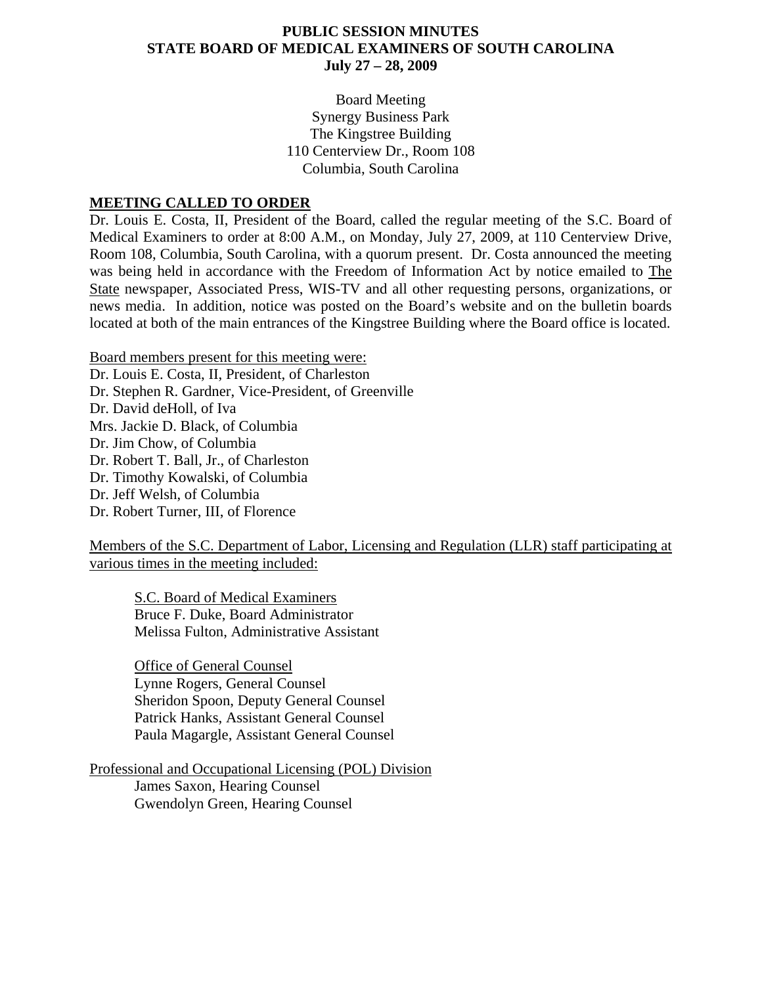#### **PUBLIC SESSION MINUTES STATE BOARD OF MEDICAL EXAMINERS OF SOUTH CAROLINA July 27 – 28, 2009**

Board Meeting Synergy Business Park The Kingstree Building 110 Centerview Dr., Room 108 Columbia, South Carolina

#### **MEETING CALLED TO ORDER**

Dr. Louis E. Costa, II, President of the Board, called the regular meeting of the S.C. Board of Medical Examiners to order at 8:00 A.M., on Monday, July 27, 2009, at 110 Centerview Drive, Room 108, Columbia, South Carolina, with a quorum present. Dr. Costa announced the meeting was being held in accordance with the Freedom of Information Act by notice emailed to The State newspaper, Associated Press, WIS-TV and all other requesting persons, organizations, or news media. In addition, notice was posted on the Board's website and on the bulletin boards located at both of the main entrances of the Kingstree Building where the Board office is located.

Board members present for this meeting were:

Dr. Louis E. Costa, II, President, of Charleston Dr. Stephen R. Gardner, Vice-President, of Greenville Dr. David deHoll, of Iva Mrs. Jackie D. Black, of Columbia Dr. Jim Chow, of Columbia Dr. Robert T. Ball, Jr., of Charleston Dr. Timothy Kowalski, of Columbia Dr. Jeff Welsh, of Columbia Dr. Robert Turner, III, of Florence

Members of the S.C. Department of Labor, Licensing and Regulation (LLR) staff participating at various times in the meeting included:

 S.C. Board of Medical Examiners Bruce F. Duke, Board Administrator Melissa Fulton, Administrative Assistant

 Office of General Counsel Lynne Rogers, General Counsel Sheridon Spoon, Deputy General Counsel Patrick Hanks, Assistant General Counsel Paula Magargle, Assistant General Counsel

Professional and Occupational Licensing (POL) Division James Saxon, Hearing Counsel Gwendolyn Green, Hearing Counsel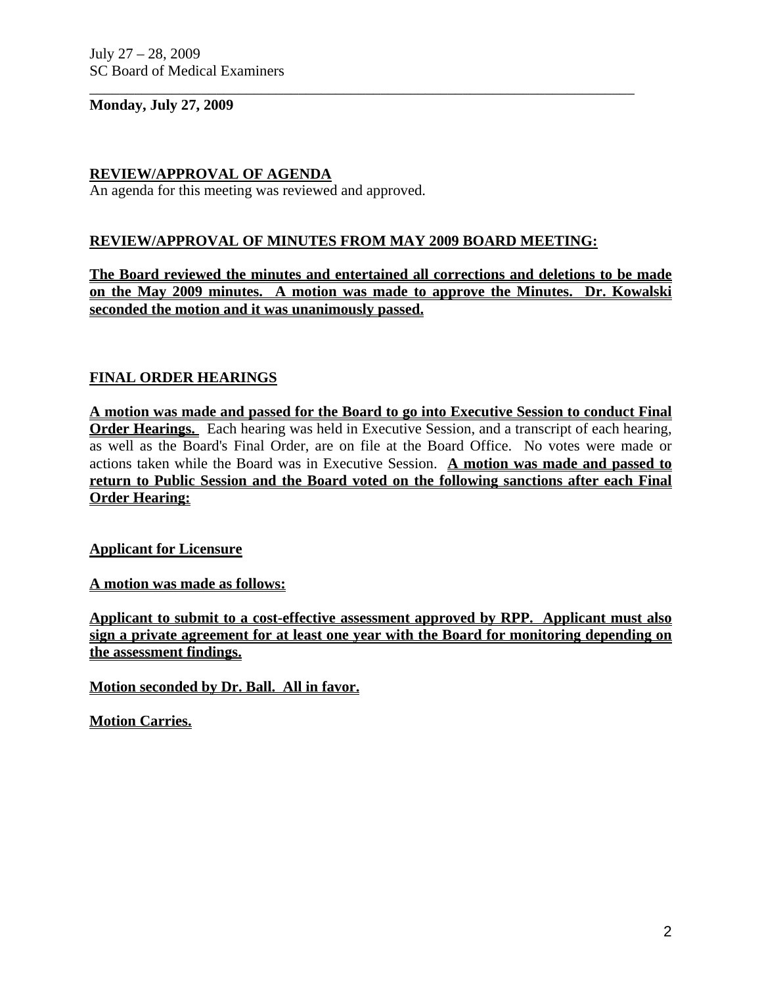#### **Monday, July 27, 2009**

## **REVIEW/APPROVAL OF AGENDA**

An agenda for this meeting was reviewed and approved.

### **REVIEW/APPROVAL OF MINUTES FROM MAY 2009 BOARD MEETING:**

\_\_\_\_\_\_\_\_\_\_\_\_\_\_\_\_\_\_\_\_\_\_\_\_\_\_\_\_\_\_\_\_\_\_\_\_\_\_\_\_\_\_\_\_\_\_\_\_\_\_\_\_\_\_\_\_\_\_\_\_\_\_\_\_\_\_\_\_\_\_\_\_\_

**The Board reviewed the minutes and entertained all corrections and deletions to be made on the May 2009 minutes. A motion was made to approve the Minutes. Dr. Kowalski seconded the motion and it was unanimously passed.** 

### **FINAL ORDER HEARINGS**

**A motion was made and passed for the Board to go into Executive Session to conduct Final Order Hearings.** Each hearing was held in Executive Session, and a transcript of each hearing, as well as the Board's Final Order, are on file at the Board Office. No votes were made or actions taken while the Board was in Executive Session. **A motion was made and passed to return to Public Session and the Board voted on the following sanctions after each Final Order Hearing:**

#### **Applicant for Licensure**

**A motion was made as follows:**

**Applicant to submit to a cost-effective assessment approved by RPP. Applicant must also sign a private agreement for at least one year with the Board for monitoring depending on the assessment findings.**

**Motion seconded by Dr. Ball. All in favor.**

**Motion Carries.**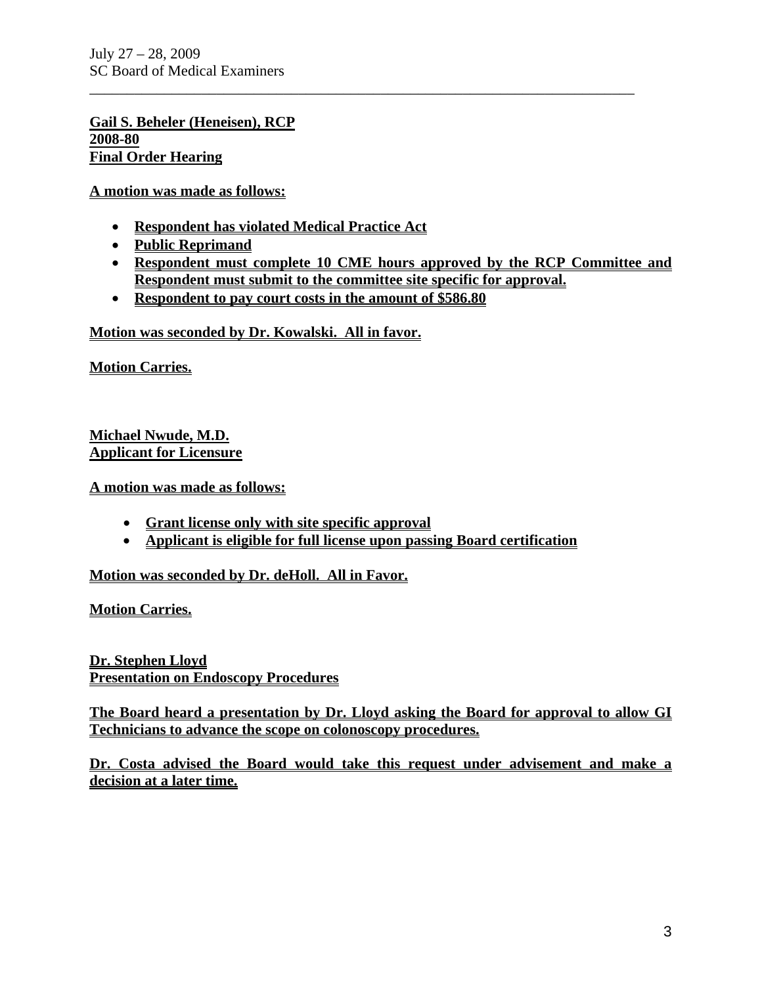**Gail S. Beheler (Heneisen), RCP 2008-80 Final Order Hearing**

**A motion was made as follows:**

- **Respondent has violated Medical Practice Act**
- **Public Reprimand**
- **Respondent must complete 10 CME hours approved by the RCP Committee and Respondent must submit to the committee site specific for approval.**

\_\_\_\_\_\_\_\_\_\_\_\_\_\_\_\_\_\_\_\_\_\_\_\_\_\_\_\_\_\_\_\_\_\_\_\_\_\_\_\_\_\_\_\_\_\_\_\_\_\_\_\_\_\_\_\_\_\_\_\_\_\_\_\_\_\_\_\_\_\_\_\_\_

• **Respondent to pay court costs in the amount of \$586.80** 

**Motion was seconded by Dr. Kowalski. All in favor.** 

**Motion Carries.**

**Michael Nwude, M.D. Applicant for Licensure**

**A motion was made as follows:**

- **Grant license only with site specific approval**
- **Applicant is eligible for full license upon passing Board certification**

**Motion was seconded by Dr. deHoll. All in Favor.**

**Motion Carries.**

**Dr. Stephen Lloyd Presentation on Endoscopy Procedures**

**The Board heard a presentation by Dr. Lloyd asking the Board for approval to allow GI Technicians to advance the scope on colonoscopy procedures.**

**Dr. Costa advised the Board would take this request under advisement and make a decision at a later time.**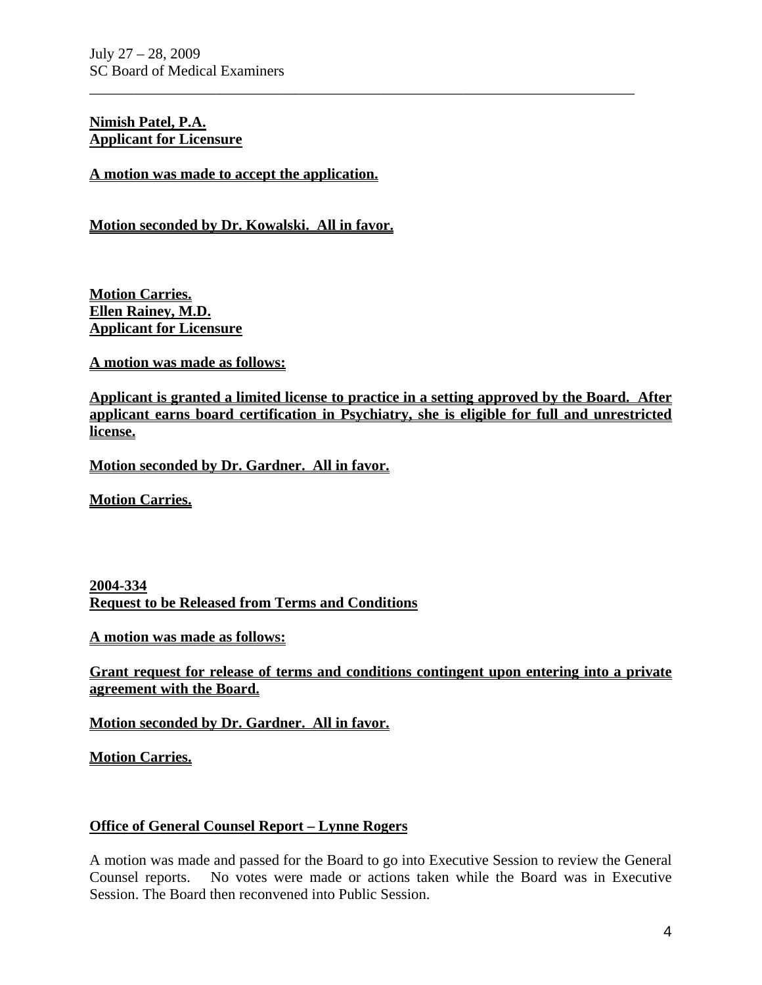### **Nimish Patel, P.A. Applicant for Licensure**

**A motion was made to accept the application.**

**Motion seconded by Dr. Kowalski. All in favor.**

**Motion Carries. Ellen Rainey, M.D. Applicant for Licensure**

**A motion was made as follows:**

**Applicant is granted a limited license to practice in a setting approved by the Board. After applicant earns board certification in Psychiatry, she is eligible for full and unrestricted license.**

\_\_\_\_\_\_\_\_\_\_\_\_\_\_\_\_\_\_\_\_\_\_\_\_\_\_\_\_\_\_\_\_\_\_\_\_\_\_\_\_\_\_\_\_\_\_\_\_\_\_\_\_\_\_\_\_\_\_\_\_\_\_\_\_\_\_\_\_\_\_\_\_\_

**Motion seconded by Dr. Gardner. All in favor.**

**Motion Carries.**

**2004-334 Request to be Released from Terms and Conditions**

**A motion was made as follows:**

**Grant request for release of terms and conditions contingent upon entering into a private agreement with the Board.** 

**Motion seconded by Dr. Gardner. All in favor.**

**Motion Carries.**

### **Office of General Counsel Report – Lynne Rogers**

A motion was made and passed for the Board to go into Executive Session to review the General Counsel reports. No votes were made or actions taken while the Board was in Executive Session. The Board then reconvened into Public Session.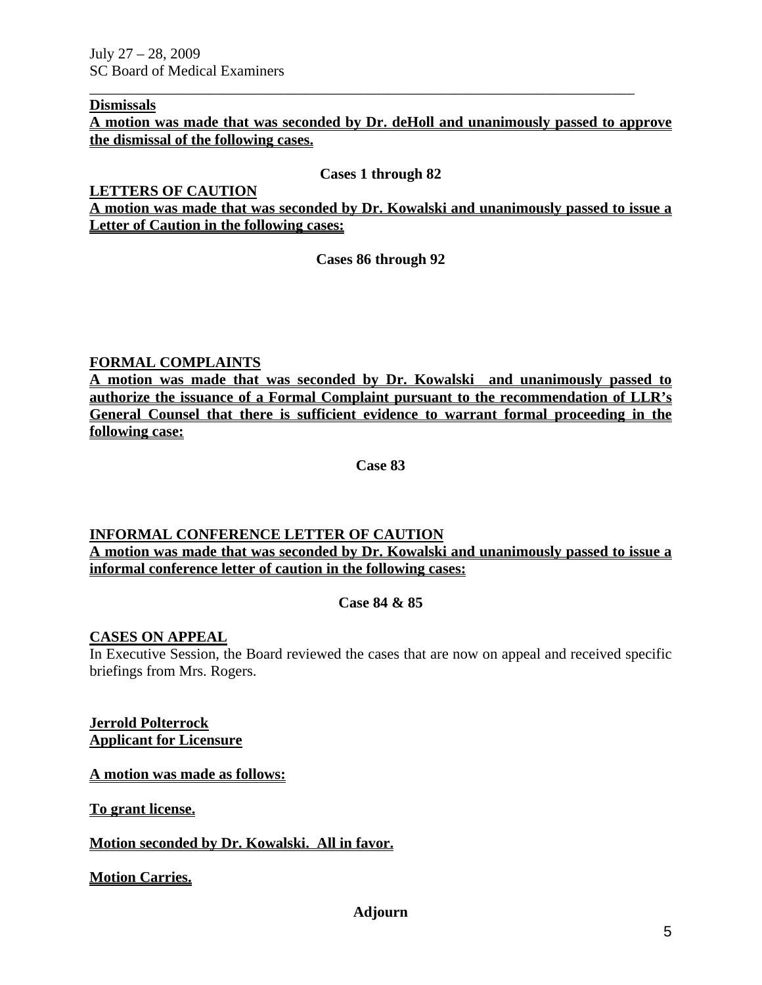#### **Dismissals**

**A motion was made that was seconded by Dr. deHoll and unanimously passed to approve the dismissal of the following cases.**

\_\_\_\_\_\_\_\_\_\_\_\_\_\_\_\_\_\_\_\_\_\_\_\_\_\_\_\_\_\_\_\_\_\_\_\_\_\_\_\_\_\_\_\_\_\_\_\_\_\_\_\_\_\_\_\_\_\_\_\_\_\_\_\_\_\_\_\_\_\_\_\_\_

#### **Cases 1 through 82**

**LETTERS OF CAUTION A motion was made that was seconded by Dr. Kowalski and unanimously passed to issue a Letter of Caution in the following cases:**

**Cases 86 through 92** 

### **FORMAL COMPLAINTS**

**A motion was made that was seconded by Dr. Kowalski and unanimously passed to authorize the issuance of a Formal Complaint pursuant to the recommendation of LLR's General Counsel that there is sufficient evidence to warrant formal proceeding in the following case:**

**Case 83** 

#### **INFORMAL CONFERENCE LETTER OF CAUTION A motion was made that was seconded by Dr. Kowalski and unanimously passed to issue a informal conference letter of caution in the following cases:**

#### **Case 84 & 85**

#### **CASES ON APPEAL**

In Executive Session, the Board reviewed the cases that are now on appeal and received specific briefings from Mrs. Rogers.

**Jerrold Polterrock Applicant for Licensure**

**A motion was made as follows:**

**To grant license.**

#### **Motion seconded by Dr. Kowalski. All in favor.**

**Motion Carries.**

### **Adjourn**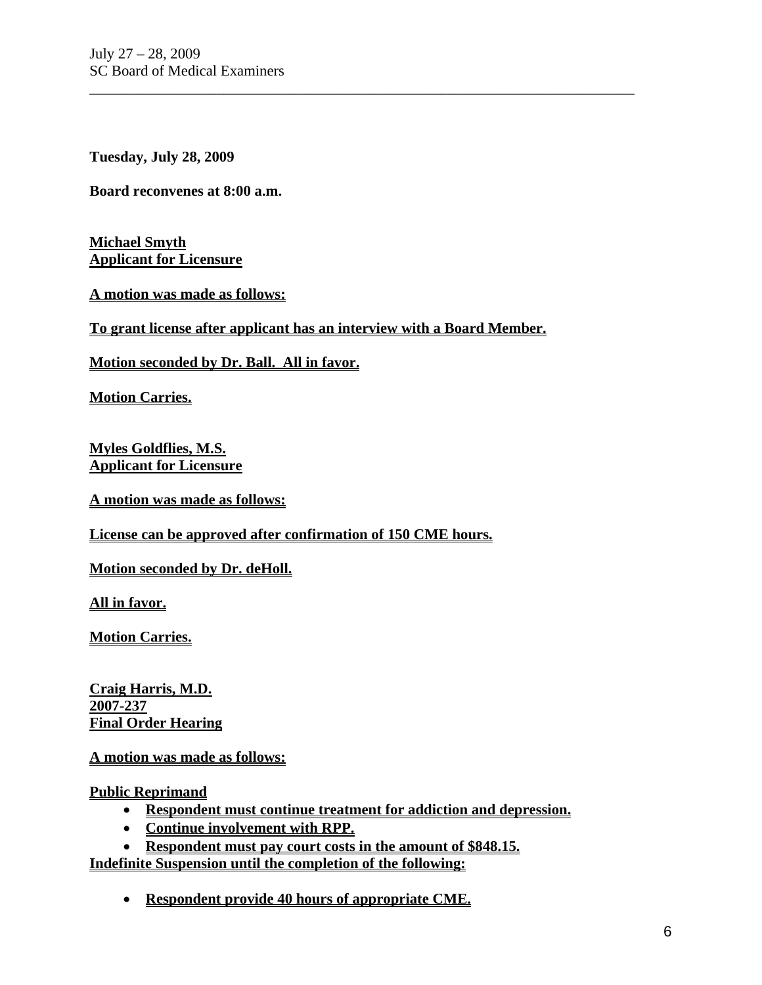**Tuesday, July 28, 2009** 

**Board reconvenes at 8:00 a.m.** 

**Michael Smyth Applicant for Licensure**

**A motion was made as follows:**

**To grant license after applicant has an interview with a Board Member.** 

\_\_\_\_\_\_\_\_\_\_\_\_\_\_\_\_\_\_\_\_\_\_\_\_\_\_\_\_\_\_\_\_\_\_\_\_\_\_\_\_\_\_\_\_\_\_\_\_\_\_\_\_\_\_\_\_\_\_\_\_\_\_\_\_\_\_\_\_\_\_\_\_\_

**Motion seconded by Dr. Ball. All in favor.**

**Motion Carries.**

**Myles Goldflies, M.S. Applicant for Licensure**

**A motion was made as follows:**

**License can be approved after confirmation of 150 CME hours.**

**Motion seconded by Dr. deHoll.** 

**All in favor.**

**Motion Carries.**

**Craig Harris, M.D. 2007-237 Final Order Hearing**

**A motion was made as follows:**

**Public Reprimand**

- **Respondent must continue treatment for addiction and depression.**
- **Continue involvement with RPP.**

• **Respondent must pay court costs in the amount of \$848.15. Indefinite Suspension until the completion of the following:**

• **Respondent provide 40 hours of appropriate CME.**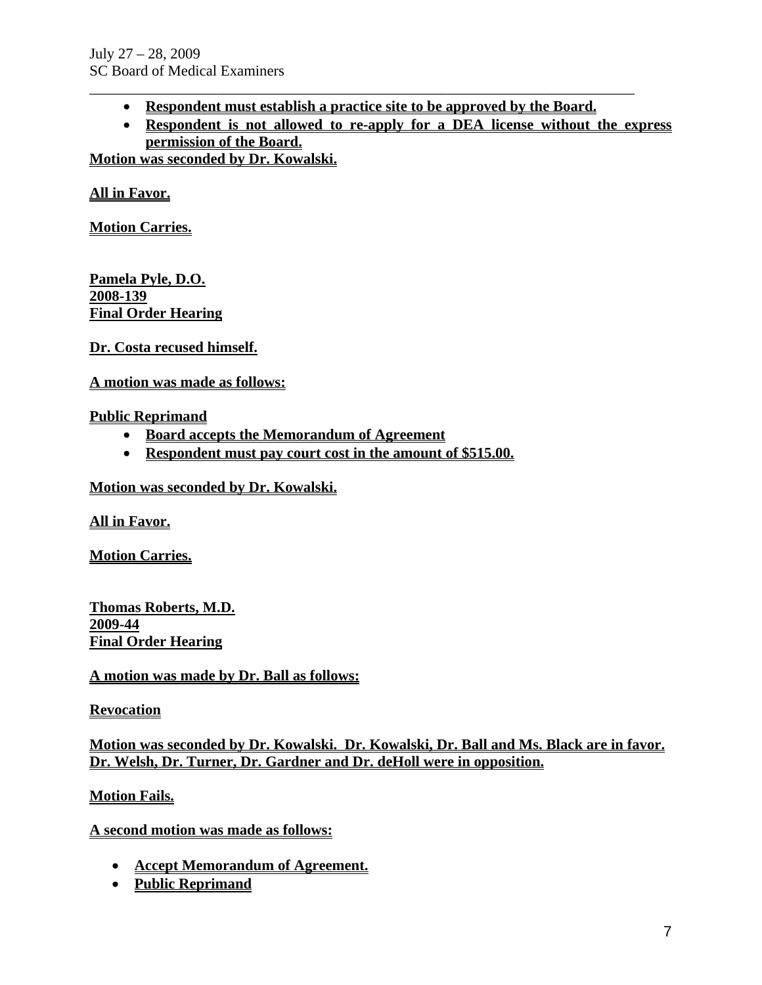- \_\_\_\_\_\_\_\_\_\_\_\_\_\_\_\_\_\_\_\_\_\_\_\_\_\_\_\_\_\_\_\_\_\_\_\_\_\_\_\_\_\_\_\_\_\_\_\_\_\_\_\_\_\_\_\_\_\_\_\_\_\_\_\_\_\_\_\_\_\_\_\_\_ • **Respondent must establish a practice site to be approved by the Board.**
	- **Respondent is not allowed to re-apply for a DEA license without the express permission of the Board.**

**Motion was seconded by Dr. Kowalski.**

**All in Favor.**

**Motion Carries.**

**Pamela Pyle, D.O. 2008-139 Final Order Hearing**

**Dr. Costa recused himself.**

**A motion was made as follows:**

### **Public Reprimand**

- **Board accepts the Memorandum of Agreement**
- **Respondent must pay court cost in the amount of \$515.00.**

**Motion was seconded by Dr. Kowalski.**

**All in Favor.**

**Motion Carries.**

**Thomas Roberts, M.D. 2009-44 Final Order Hearing**

**A motion was made by Dr. Ball as follows:**

**Revocation**

**Motion was seconded by Dr. Kowalski. Dr. Kowalski, Dr. Ball and Ms. Black are in favor. Dr. Welsh, Dr. Turner, Dr. Gardner and Dr. deHoll were in opposition.**

**Motion Fails.**

**A second motion was made as follows:**

- **Accept Memorandum of Agreement.**
- **Public Reprimand**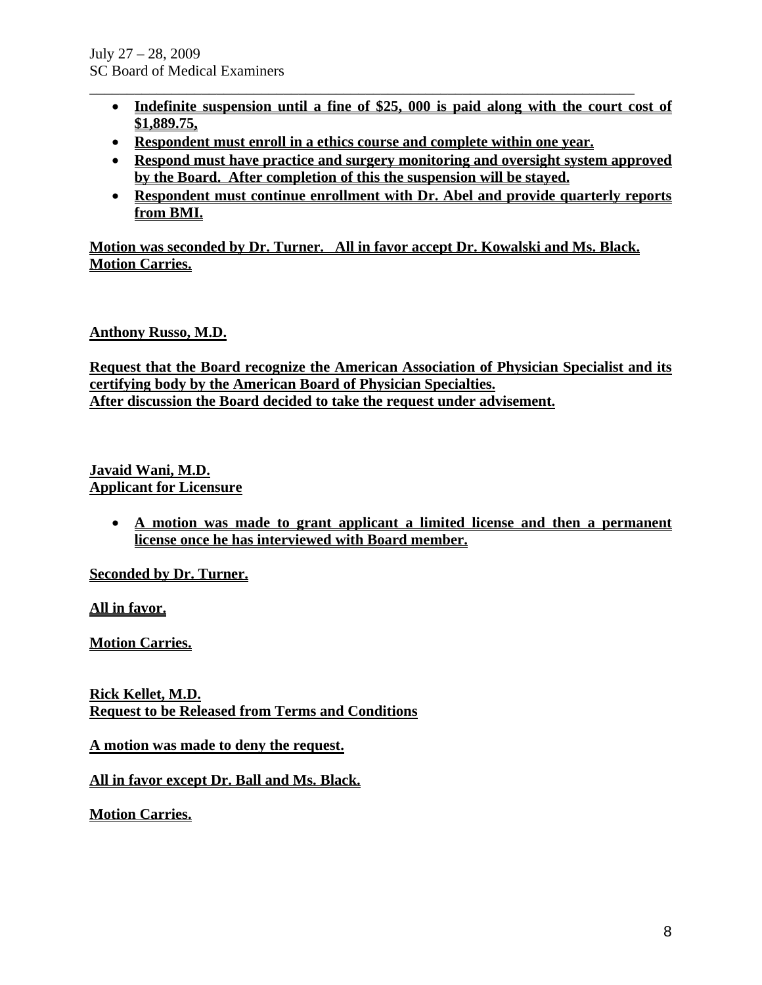- **Indefinite suspension until a fine of \$25, 000 is paid along with the court cost of \$1,889.75,**
- **Respondent must enroll in a ethics course and complete within one year.**

\_\_\_\_\_\_\_\_\_\_\_\_\_\_\_\_\_\_\_\_\_\_\_\_\_\_\_\_\_\_\_\_\_\_\_\_\_\_\_\_\_\_\_\_\_\_\_\_\_\_\_\_\_\_\_\_\_\_\_\_\_\_\_\_\_\_\_\_\_\_\_\_\_

- **Respond must have practice and surgery monitoring and oversight system approved by the Board. After completion of this the suspension will be stayed.**
- **Respondent must continue enrollment with Dr. Abel and provide quarterly reports from BMI.**

**Motion was seconded by Dr. Turner. All in favor accept Dr. Kowalski and Ms. Black. Motion Carries.**

# **Anthony Russo, M.D.**

**Request that the Board recognize the American Association of Physician Specialist and its certifying body by the American Board of Physician Specialties. After discussion the Board decided to take the request under advisement.**

### **Javaid Wani, M.D. Applicant for Licensure**

• **A motion was made to grant applicant a limited license and then a permanent license once he has interviewed with Board member.** 

**Seconded by Dr. Turner.**

**All in favor.**

**Motion Carries.** 

**Rick Kellet, M.D. Request to be Released from Terms and Conditions**

**A motion was made to deny the request.**

**All in favor except Dr. Ball and Ms. Black.**

**Motion Carries.**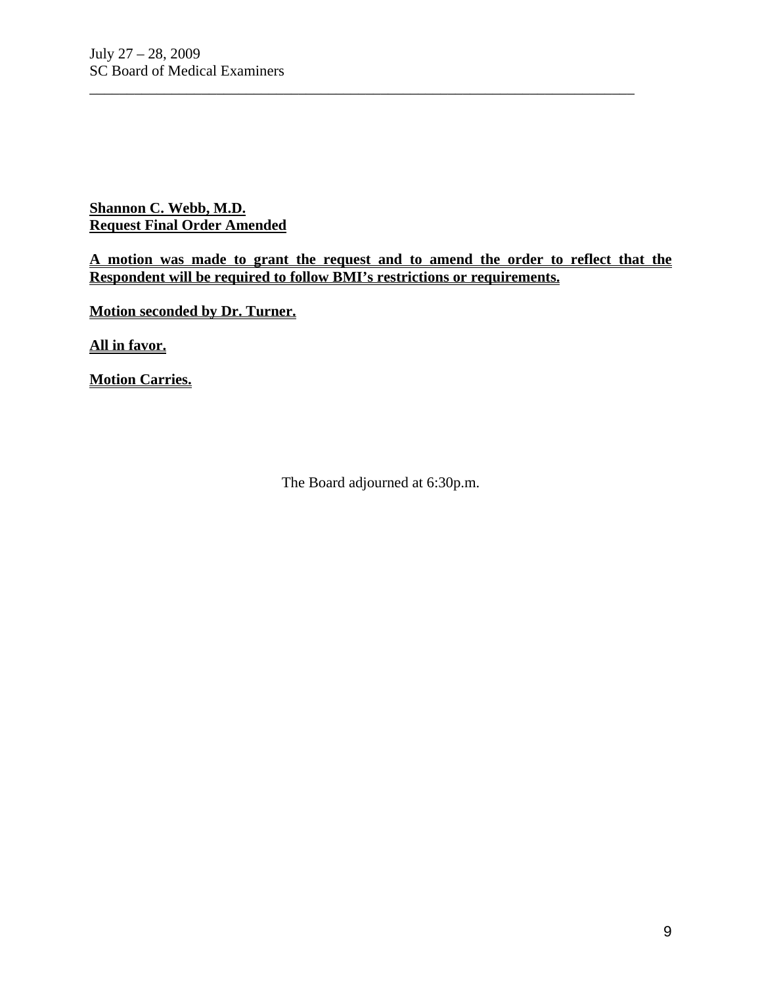**Shannon C. Webb, M.D. Request Final Order Amended**

**A motion was made to grant the request and to amend the order to reflect that the Respondent will be required to follow BMI's restrictions or requirements.**

\_\_\_\_\_\_\_\_\_\_\_\_\_\_\_\_\_\_\_\_\_\_\_\_\_\_\_\_\_\_\_\_\_\_\_\_\_\_\_\_\_\_\_\_\_\_\_\_\_\_\_\_\_\_\_\_\_\_\_\_\_\_\_\_\_\_\_\_\_\_\_\_\_

**Motion seconded by Dr. Turner.**

**All in favor.**

**Motion Carries.**

The Board adjourned at 6:30p.m.